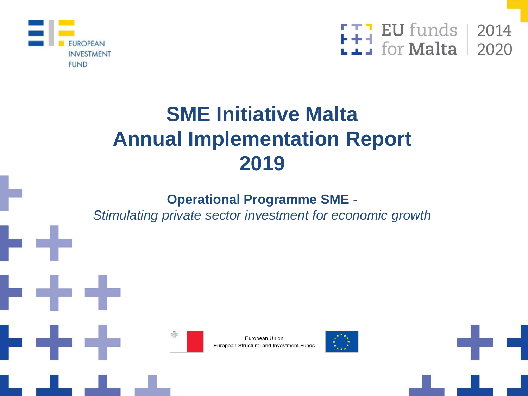



# **SME Initiative Malta Annual Implementation Report 2019**

#### **Operational Programme SME -**

*Stimulating private sector investment for economic growth*



European Union European Structural and Investment Funds

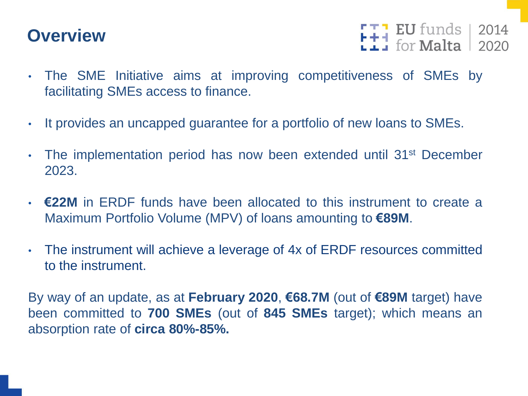## **Overview**

 $F + 1$  EU funds 2014

- The SME Initiative aims at improving competitiveness of SMEs by facilitating SMEs access to finance.
- It provides an uncapped guarantee for a portfolio of new loans to SMEs.
- The implementation period has now been extended until 31st December 2023.
- **€22M** in ERDF funds have been allocated to this instrument to create a Maximum Portfolio Volume (MPV) of loans amounting to **€89M**.
- The instrument will achieve a leverage of 4x of ERDF resources committed to the instrument.

By way of an update, as at **February 2020**, **€68.7M** (out of **€89M** target) have been committed to **700 SMEs** (out of **845 SMEs** target); which means an absorption rate of **circa 80%-85%.**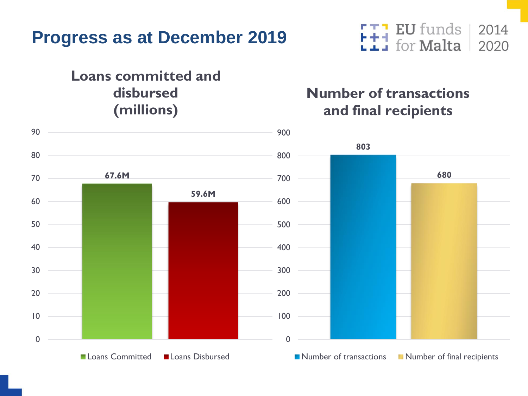

#### **Loans committed and disbursed (millions)**

#### **EU** funds Ħ for **Malta**

#### **Number of transactions and final recipients**

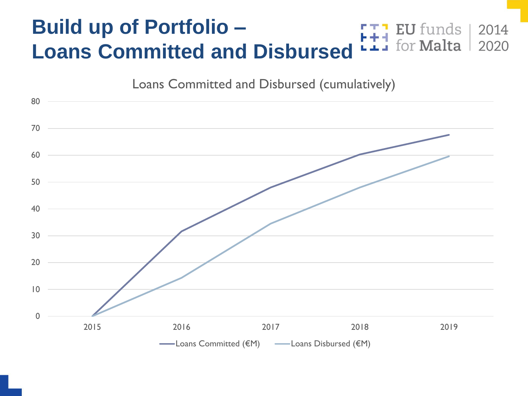#### **Build up of Portfolio – EU** funds for **Malta Loans Committed and Disbursed**



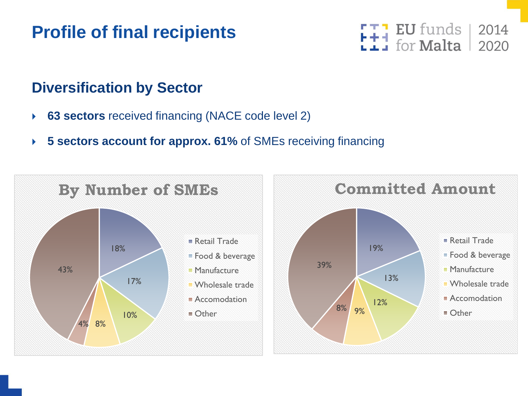## **Profile of final recipients**



#### **Diversification by Sector**

- **63 sectors** received financing (NACE code level 2)
- **5 sectors account for approx. 61%** of SMEs receiving financing

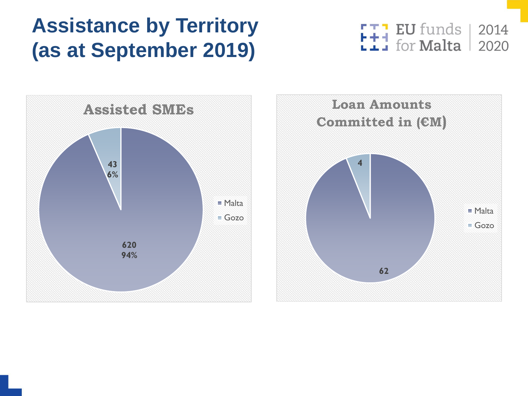# **Assistance by Territory (as at September 2019)**

EU funds |  $\begin{array}{c} \textbf{I} \textbf{I} \textbf{I} \textbf{I} \textbf{I} \textbf{I} \textbf{I} \textbf{I} \textbf{I} \textbf{I} \textbf{I} \textbf{I} \textbf{I} \textbf{I} \textbf{I} \textbf{I} \textbf{I} \textbf{I} \textbf{I} \textbf{I} \textbf{I} \textbf{I} \textbf{I} \textbf{I} \textbf{I} \textbf{I} \textbf{I} \textbf{I} \textbf{I} \textbf{I} \textbf{I} \textbf{I} \textbf{I} \textbf{I} \textbf{I} \textbf$ 2014 2020



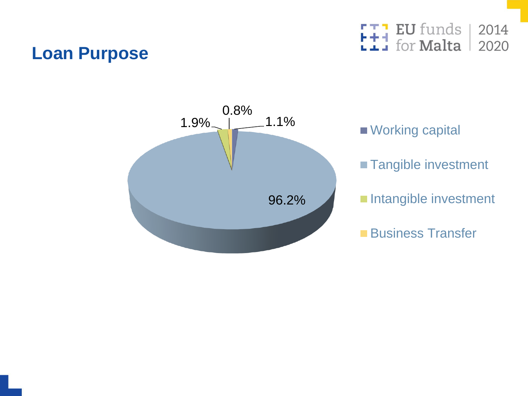### **Loan Purpose**

EU funds 2014 for **Malta** 2020



■ Working capital **Tangible investment** Intangible investment **Business Transfer**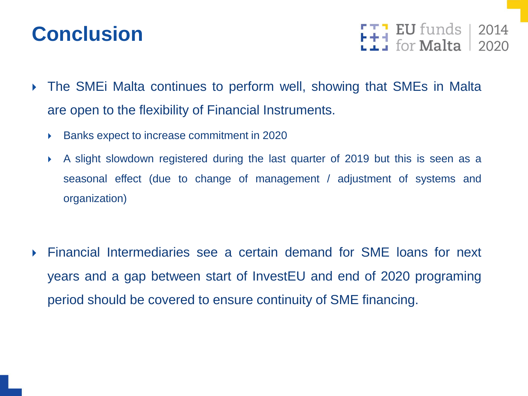# **Conclusion**

**FU** funds<br>For **Malta** 2014

- The SMEi Malta continues to perform well, showing that SMEs in Malta are open to the flexibility of Financial Instruments.
	- ▶ Banks expect to increase commitment in 2020
	- A slight slowdown registered during the last quarter of 2019 but this is seen as a seasonal effect (due to change of management / adjustment of systems and organization)

 Financial Intermediaries see a certain demand for SME loans for next years and a gap between start of InvestEU and end of 2020 programing period should be covered to ensure continuity of SME financing.